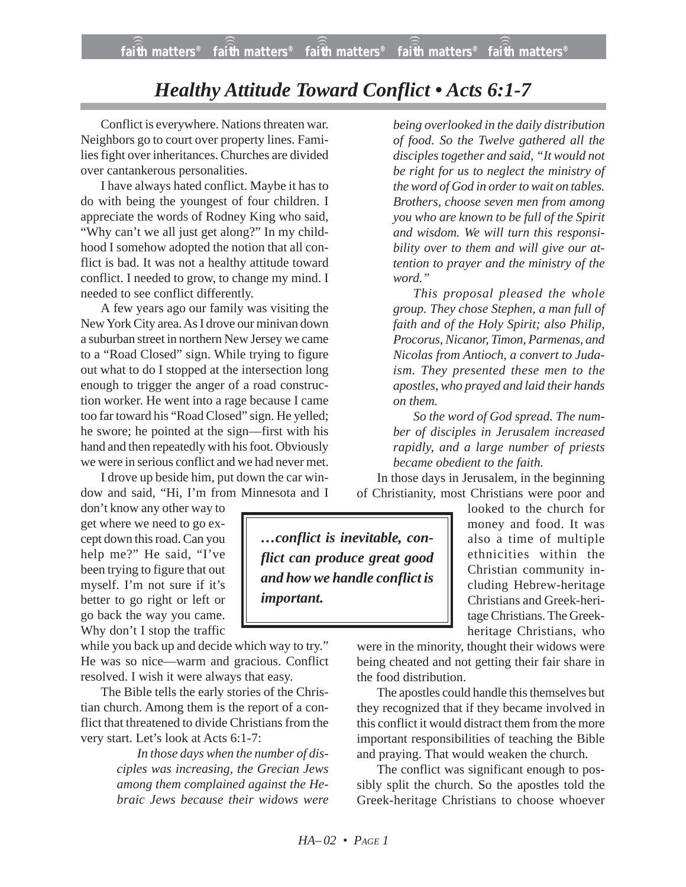# *Healthy Attitude Toward Conflict • Acts 6:1-7*

Conflict is everywhere. Nations threaten war. Neighbors go to court over property lines. Families fight over inheritances. Churches are divided over cantankerous personalities.

I have always hated conflict. Maybe it has to do with being the youngest of four children. I appreciate the words of Rodney King who said, "Why can't we all just get along?" In my childhood I somehow adopted the notion that all conflict is bad. It was not a healthy attitude toward conflict. I needed to grow, to change my mind. I needed to see conflict differently.

A few years ago our family was visiting the New York City area. As I drove our minivan down a suburban street in northern New Jersey we came to a "Road Closed" sign. While trying to figure out what to do I stopped at the intersection long enough to trigger the anger of a road construction worker. He went into a rage because I came too far toward his "Road Closed" sign. He yelled; he swore; he pointed at the sign—first with his hand and then repeatedly with his foot. Obviously we were in serious conflict and we had never met.

I drove up beside him, put down the car window and said, "Hi, I'm from Minnesota and I

don't know any other way to get where we need to go except down this road. Can you help me?" He said, "I've been trying to figure that out myself. I'm not sure if it's better to go right or left or go back the way you came. Why don't I stop the traffic

while you back up and decide which way to try." He was so nice—warm and gracious. Conflict resolved. I wish it were always that easy.

The Bible tells the early stories of the Christian church. Among them is the report of a conflict that threatened to divide Christians from the very start. Let's look at Acts 6:1-7:

> *In those days when the number of disciples was increasing, the Grecian Jews among them complained against the Hebraic Jews because their widows were*

*being overlooked in the daily distribution of food. So the Twelve gathered all the disciples together and said, "It would not be right for us to neglect the ministry of the word of God in order to wait on tables. Brothers, choose seven men from among you who are known to be full of the Spirit and wisdom. We will turn this responsibility over to them and will give our attention to prayer and the ministry of the word."*

*This proposal pleased the whole group. They chose Stephen, a man full of faith and of the Holy Spirit; also Philip, Procorus, Nicanor, Timon, Parmenas, and Nicolas from Antioch, a convert to Judaism. They presented these men to the apostles, who prayed and laid their hands on them.*

*So the word of God spread. The number of disciples in Jerusalem increased rapidly, and a large number of priests became obedient to the faith.*

In those days in Jerusalem, in the beginning of Christianity, most Christians were poor and

*…conflict is inevitable, conflict can produce great good and how we handle conflict is important.*

looked to the church for money and food. It was also a time of multiple ethnicities within the Christian community including Hebrew-heritage Christians and Greek-heritage Christians. The Greekheritage Christians, who

were in the minority, thought their widows were being cheated and not getting their fair share in the food distribution.

The apostles could handle this themselves but they recognized that if they became involved in this conflict it would distract them from the more important responsibilities of teaching the Bible and praying. That would weaken the church.

The conflict was significant enough to possibly split the church. So the apostles told the Greek-heritage Christians to choose whoever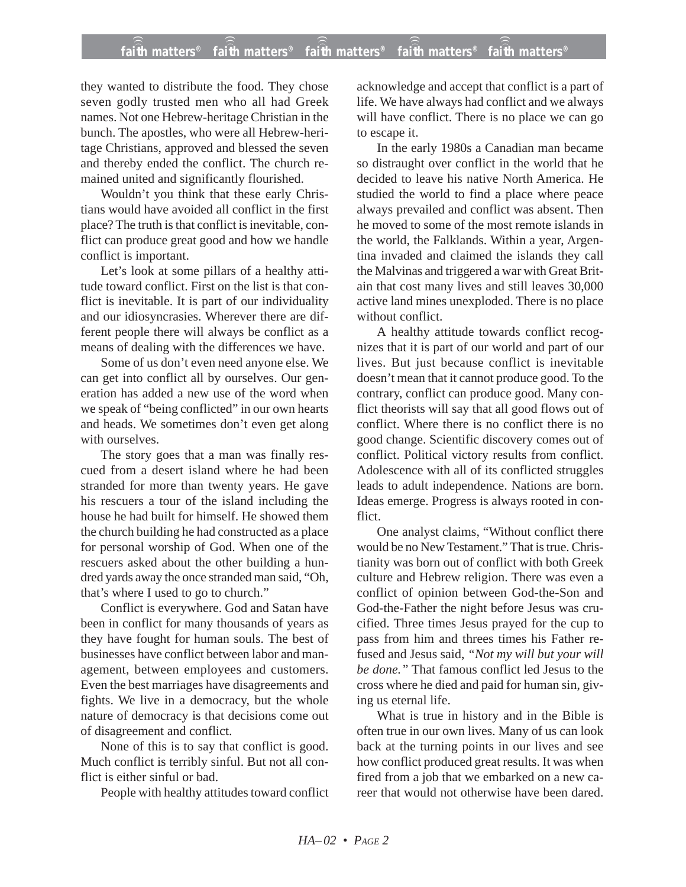# **faith matters® faith matters® faith matters® faith matters® faith matters®** ))) ))) ))) ))) )))

they wanted to distribute the food. They chose seven godly trusted men who all had Greek names. Not one Hebrew-heritage Christian in the bunch. The apostles, who were all Hebrew-heritage Christians, approved and blessed the seven and thereby ended the conflict. The church remained united and significantly flourished.

Wouldn't you think that these early Christians would have avoided all conflict in the first place? The truth is that conflict is inevitable, conflict can produce great good and how we handle conflict is important.

Let's look at some pillars of a healthy attitude toward conflict. First on the list is that conflict is inevitable. It is part of our individuality and our idiosyncrasies. Wherever there are different people there will always be conflict as a means of dealing with the differences we have.

Some of us don't even need anyone else. We can get into conflict all by ourselves. Our generation has added a new use of the word when we speak of "being conflicted" in our own hearts and heads. We sometimes don't even get along with ourselves.

The story goes that a man was finally rescued from a desert island where he had been stranded for more than twenty years. He gave his rescuers a tour of the island including the house he had built for himself. He showed them the church building he had constructed as a place for personal worship of God. When one of the rescuers asked about the other building a hundred yards away the once stranded man said, "Oh, that's where I used to go to church."

Conflict is everywhere. God and Satan have been in conflict for many thousands of years as they have fought for human souls. The best of businesses have conflict between labor and management, between employees and customers. Even the best marriages have disagreements and fights. We live in a democracy, but the whole nature of democracy is that decisions come out of disagreement and conflict.

None of this is to say that conflict is good. Much conflict is terribly sinful. But not all conflict is either sinful or bad.

People with healthy attitudes toward conflict

acknowledge and accept that conflict is a part of life. We have always had conflict and we always will have conflict. There is no place we can go to escape it.

In the early 1980s a Canadian man became so distraught over conflict in the world that he decided to leave his native North America. He studied the world to find a place where peace always prevailed and conflict was absent. Then he moved to some of the most remote islands in the world, the Falklands. Within a year, Argentina invaded and claimed the islands they call the Malvinas and triggered a war with Great Britain that cost many lives and still leaves 30,000 active land mines unexploded. There is no place without conflict.

A healthy attitude towards conflict recognizes that it is part of our world and part of our lives. But just because conflict is inevitable doesn't mean that it cannot produce good. To the contrary, conflict can produce good. Many conflict theorists will say that all good flows out of conflict. Where there is no conflict there is no good change. Scientific discovery comes out of conflict. Political victory results from conflict. Adolescence with all of its conflicted struggles leads to adult independence. Nations are born. Ideas emerge. Progress is always rooted in conflict.

One analyst claims, "Without conflict there would be no New Testament." That is true. Christianity was born out of conflict with both Greek culture and Hebrew religion. There was even a conflict of opinion between God-the-Son and God-the-Father the night before Jesus was crucified. Three times Jesus prayed for the cup to pass from him and threes times his Father refused and Jesus said, *"Not my will but your will be done."* That famous conflict led Jesus to the cross where he died and paid for human sin, giving us eternal life.

What is true in history and in the Bible is often true in our own lives. Many of us can look back at the turning points in our lives and see how conflict produced great results. It was when fired from a job that we embarked on a new career that would not otherwise have been dared.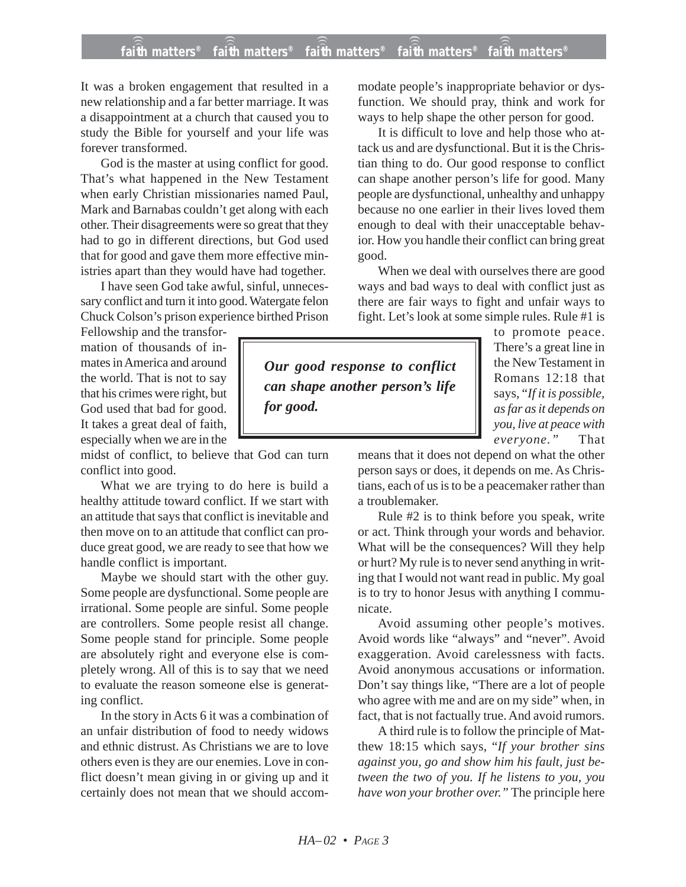# **faith matters® faith matters® faith matters® faith matters® faith matters®** ))) ))) ))) ))) )))

It was a broken engagement that resulted in a new relationship and a far better marriage. It was a disappointment at a church that caused you to study the Bible for yourself and your life was forever transformed.

God is the master at using conflict for good. That's what happened in the New Testament when early Christian missionaries named Paul, Mark and Barnabas couldn't get along with each other. Their disagreements were so great that they had to go in different directions, but God used that for good and gave them more effective ministries apart than they would have had together.

I have seen God take awful, sinful, unnecessary conflict and turn it into good. Watergate felon Chuck Colson's prison experience birthed Prison

Fellowship and the transformation of thousands of inmates in America and around the world. That is not to say that his crimes were right, but God used that bad for good. It takes a great deal of faith, especially when we are in the

midst of conflict, to believe that God can turn conflict into good.

What we are trying to do here is build a healthy attitude toward conflict. If we start with an attitude that says that conflict is inevitable and then move on to an attitude that conflict can produce great good, we are ready to see that how we handle conflict is important.

Maybe we should start with the other guy. Some people are dysfunctional. Some people are irrational. Some people are sinful. Some people are controllers. Some people resist all change. Some people stand for principle. Some people are absolutely right and everyone else is completely wrong. All of this is to say that we need to evaluate the reason someone else is generating conflict.

In the story in Acts 6 it was a combination of an unfair distribution of food to needy widows and ethnic distrust. As Christians we are to love others even is they are our enemies. Love in conflict doesn't mean giving in or giving up and it certainly does not mean that we should accommodate people's inappropriate behavior or dysfunction. We should pray, think and work for ways to help shape the other person for good.

It is difficult to love and help those who attack us and are dysfunctional. But it is the Christian thing to do. Our good response to conflict can shape another person's life for good. Many people are dysfunctional, unhealthy and unhappy because no one earlier in their lives loved them enough to deal with their unacceptable behavior. How you handle their conflict can bring great good.

When we deal with ourselves there are good ways and bad ways to deal with conflict just as there are fair ways to fight and unfair ways to fight. Let's look at some simple rules. Rule #1 is

*Our good response to conflict can shape another person's life for good.*

to promote peace. There's a great line in the New Testament in Romans 12:18 that says, "*If it is possible, as far as it depends on you, live at peace with everyone."* That

means that it does not depend on what the other person says or does, it depends on me. As Christians, each of us is to be a peacemaker rather than a troublemaker.

Rule #2 is to think before you speak, write or act. Think through your words and behavior. What will be the consequences? Will they help or hurt? My rule is to never send anything in writing that I would not want read in public. My goal is to try to honor Jesus with anything I communicate.

Avoid assuming other people's motives. Avoid words like "always" and "never". Avoid exaggeration. Avoid carelessness with facts. Avoid anonymous accusations or information. Don't say things like, "There are a lot of people who agree with me and are on my side" when, in fact, that is not factually true. And avoid rumors.

A third rule is to follow the principle of Matthew 18:15 which says, "*If your brother sins against you, go and show him his fault, just between the two of you. If he listens to you, you have won your brother over."* The principle here